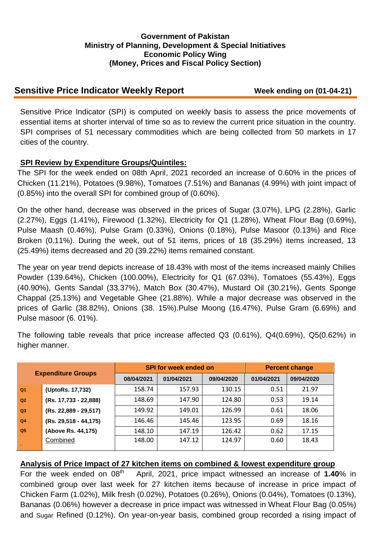### **Government of Pakistan Ministry of Planning, Development & Special Initiatives Economic Policy Wing (Money, Prices and Fiscal Policy Section)**

# **Sensitive Price Indicator Weekly Report Week ending on (01-04-21)**

Sensitive Price Indicator (SPI) is computed on weekly basis to assess the price movements of essential items at shorter interval of time so as to review the current price situation in the country. SPI comprises of 51 necessary commodities which are being collected from 50 markets in 17 cities of the country.

## **SPI Review by Expenditure Groups/Quintiles:**

The SPI for the week ended on 08th April, 2021 recorded an increase of 0.60% in the prices of Chicken (11.21%), Potatoes (9.98%), Tomatoes (7.51%) and Bananas (4.99%) with joint impact of (0.85%) into the overall SPI for combined group of (0.60%).

On the other hand, decrease was observed in the prices of Sugar (3.07%), LPG (2.28%), Garlic (2.27%), Eggs (1.41%), Firewood (1.32%), Electricity for Q1 (1.28%), Wheat Flour Bag (0.69%), Pulse Maash (0.46%), Pulse Gram (0.33%), Onions (0.18%), Pulse Masoor (0.13%) and Rice Broken (0.11%). During the week, out of 51 items, prices of 18 (35.29%) items increased, 13 (25.49%) items decreased and 20 (39.22%) items remained constant.

The year on year trend depicts increase of 18.43% with most of the items increased mainly Chilies Powder (139.64%), Chicken (100.00%), Electricity for Q1 (67.03%), Tomatoes (55.43%), Eggs (40.90%), Gents Sandal (33.37%), Match Box (30.47%), Mustard Oil (30.21%), Gents Sponge Chappal (25.13%) and Vegetable Ghee (21.88%). While a major decrease was observed in the prices of Garlic (38.82%), Onions (38. 15%).Pulse Moong (16.47%), Pulse Gram (6.69%) and Pulse masoor (6. 01%).

The following table reveals that price increase affected Q3 (0.61%), Q4(0.69%), Q5(0.62%) in higher manner.

| <b>Expenditure Groups</b> |                       |            | <b>SPI for week ended on</b> | <b>Percent change</b> |            |            |
|---------------------------|-----------------------|------------|------------------------------|-----------------------|------------|------------|
|                           |                       | 08/04/2021 | 01/04/2021                   | 09/04/2020            | 01/04/2021 | 09/04/2020 |
| Q <sub>1</sub>            | (UptoRs. 17,732)      | 158.74     | 157.93                       | 130.15                | 0.51       | 21.97      |
| Q2                        | (Rs. 17,733 - 22,888) | 148.69     | 147.90                       | 124.80                | 0.53       | 19.14      |
| Q <sub>3</sub>            | (Rs. 22,889 - 29,517) | 149.92     | 149.01                       | 126.99                | 0.61       | 18.06      |
| Q <sub>4</sub>            | (Rs. 29,518 - 44,175) | 146.46     | 145.46                       | 123.95                | 0.69       | 18.16      |
| Q <sub>5</sub>            | (Above Rs. 44,175)    | 148.10     | 147.19                       | 126.42                | 0.62       | 17.15      |
|                           | Combined              | 148.00     | 147.12                       | 124.97                | 0.60       | 18.43      |

#### **Analysis of Price Impact of 27 kitchen items on combined & lowest expenditure group**

For the week ended on 08<sup>th</sup> April, 2021, price impact witnessed an increase of **1.40**% in combined group over last week for 27 kitchen items because of increase in price impact of Chicken Farm (1.02%), Milk fresh (0.02%), Potatoes (0.26%), Onions (0.04%), Tomatoes (0.13%), Bananas (0.06%) however a decrease in price impact was witnessed in Wheat Flour Bag (0.05%) and Sugar Refined (0.12%). On year-on-year basis, combined group recorded a rising impact of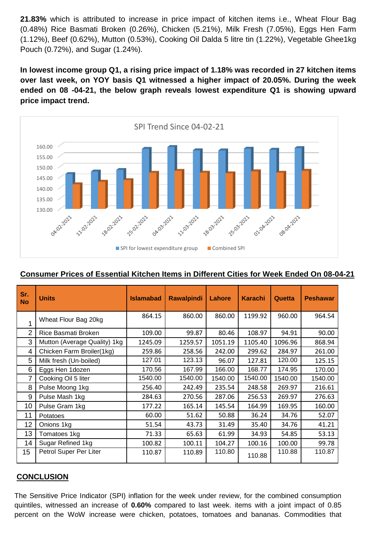**21.83%** which is attributed to increase in price impact of kitchen items i.e., Wheat Flour Bag (0.48%) Rice Basmati Broken (0.26%), Chicken (5.21%), Milk Fresh (7.05%), Eggs Hen Farm (1.12%), Beef (0.62%), Mutton (0.53%), Cooking Oil Dalda 5 litre tin (1.22%), Vegetable Ghee1kg Pouch (0.72%), and Sugar (1.24%).

**In lowest income group Q1, a rising price impact of 1.18% was recorded in 27 kitchen items over last week, on YOY basis Q1 witnessed a higher impact of 20.05%. During the week ended on 08 -04-21, the below graph reveals lowest expenditure Q1 is showing upward price impact trend.**



## **Consumer Prices of Essential Kitchen Items in Different Cities for Week Ended On 08-04-21**

| Sr.<br><b>No</b> | <b>Units</b>                 | <b>Islamabad</b> | <b>Rawalpindi</b> | Lahore  | <b>Karachi</b> | Quetta  | <b>Peshawar</b> |
|------------------|------------------------------|------------------|-------------------|---------|----------------|---------|-----------------|
| 1                | Wheat Flour Bag 20kg         | 864.15           | 860.00            | 860.00  | 1199.92        | 960.00  | 964.54          |
| 2                | Rice Basmati Broken          | 109.00           | 99.87             | 80.46   | 108.97         | 94.91   | 90.00           |
| 3                | Mutton (Average Quality) 1kg | 1245.09          | 1259.57           | 1051.19 | 1105.40        | 1096.96 | 868.94          |
| 4                | Chicken Farm Broiler(1kg)    | 259.86           | 258.56            | 242.00  | 299.62         | 284.97  | 261.00          |
| 5                | Milk fresh (Un-boiled)       | 127.01           | 123.13            | 96.07   | 127.81         | 120.00  | 125.15          |
| 6                | Eggs Hen 1dozen              | 170.56           | 167.99            | 166.00  | 168.77         | 174.95  | 170.00          |
| 7                | Cooking Oil 5 liter          | 1540.00          | 1540.00           | 1540.00 | 1540.00        | 1540.00 | 1540.00         |
| 8                | Pulse Moong 1kg              | 256.40           | 242.49            | 235.54  | 248.58         | 269.97  | 216.61          |
| 9                | Pulse Mash 1kg               | 284.63           | 270.56            | 287.06  | 256.53         | 269.97  | 276.63          |
| 10               | Pulse Gram 1kg               | 177.22           | 165.14            | 145.54  | 164.99         | 169.95  | 160.00          |
| 11               | Potatoes                     | 60.00            | 51.62             | 50.88   | 36.24          | 34.76   | 52.07           |
| 12               | Onions 1kg                   | 51.54            | 43.73             | 31.49   | 35.40          | 34.76   | 41.21           |
| 13               | Tomatoes 1kg                 | 71.33            | 65.63             | 61.99   | 34.93          | 54.85   | 53.13           |
| 14               | Sugar Refined 1kg            | 100.82           | 100.11            | 104.27  | 100.16         | 100.00  | 99.78           |
| 15 <sub>1</sub>  | Petrol Super Per Liter       | 110.87           | 110.89            | 110.80  | 110.88         | 110.88  | 110.87          |

## **CONCLUSION**

The Sensitive Price Indicator (SPI) inflation for the week under review, for the combined consumption quintiles, witnessed an increase of **0.60%** compared to last week. items with a joint impact of 0.85 percent on the WoW increase were chicken, potatoes, tomatoes and bananas. Commodities that